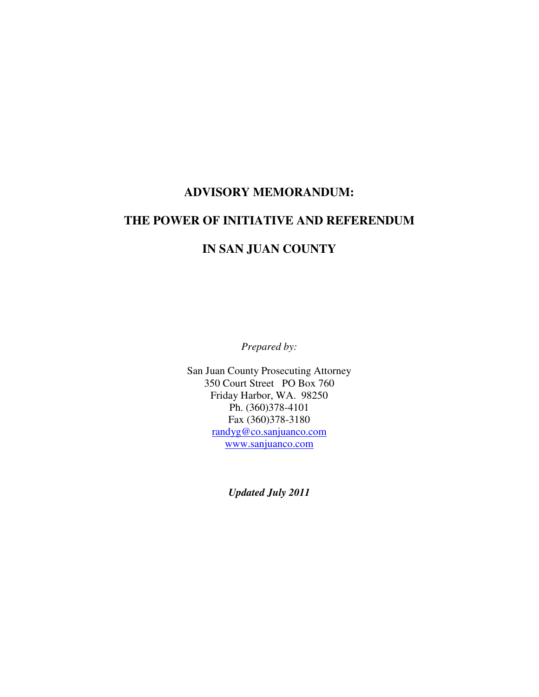# **ADVISORY MEMORANDUM:**

# **THE POWER OF INITIATIVE AND REFERENDUM**

# **IN SAN JUAN COUNTY**

*Prepared by:* 

San Juan County Prosecuting Attorney 350 Court Street PO Box 760 Friday Harbor, WA. 98250 Ph. (360)378-4101 Fax (360)378-3180 randyg@co.sanjuanco.com www.sanjuanco.com

*Updated July 2011*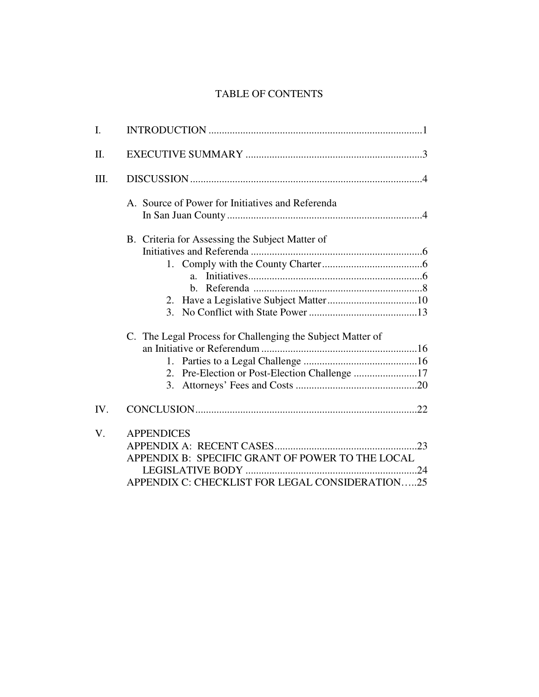# TABLE OF CONTENTS

| I.   |                                                                                                                          |
|------|--------------------------------------------------------------------------------------------------------------------------|
| II.  |                                                                                                                          |
| III. |                                                                                                                          |
|      | A. Source of Power for Initiatives and Referenda                                                                         |
|      | B. Criteria for Assessing the Subject Matter of<br>C. The Legal Process for Challenging the Subject Matter of            |
|      | 2. Pre-Election or Post-Election Challenge 17<br>3.                                                                      |
| IV.  |                                                                                                                          |
| V.   | <b>APPENDICES</b><br>APPENDIX B: SPECIFIC GRANT OF POWER TO THE LOCAL<br>APPENDIX C: CHECKLIST FOR LEGAL CONSIDERATION25 |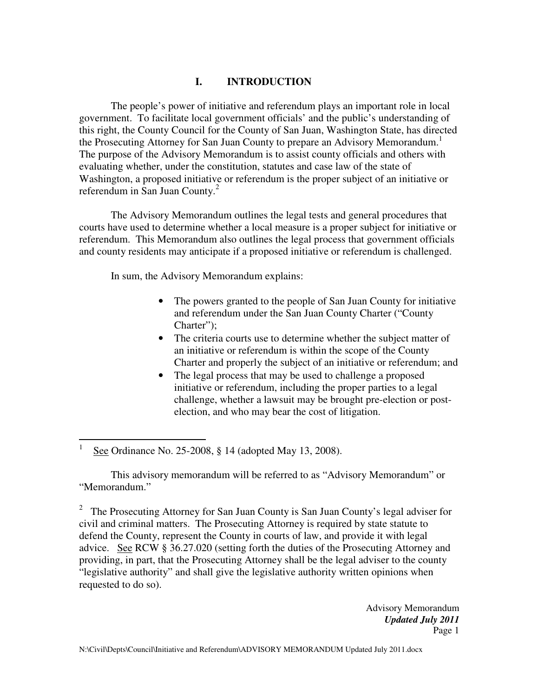# **I. INTRODUCTION**

The people's power of initiative and referendum plays an important role in local government. To facilitate local government officials' and the public's understanding of this right, the County Council for the County of San Juan, Washington State, has directed the Prosecuting Attorney for San Juan County to prepare an Advisory Memorandum.<sup>1</sup> The purpose of the Advisory Memorandum is to assist county officials and others with evaluating whether, under the constitution, statutes and case law of the state of Washington, a proposed initiative or referendum is the proper subject of an initiative or referendum in San Juan County.<sup>2</sup>

The Advisory Memorandum outlines the legal tests and general procedures that courts have used to determine whether a local measure is a proper subject for initiative or referendum. This Memorandum also outlines the legal process that government officials and county residents may anticipate if a proposed initiative or referendum is challenged.

In sum, the Advisory Memorandum explains:

- The powers granted to the people of San Juan County for initiative and referendum under the San Juan County Charter ("County Charter");
- The criteria courts use to determine whether the subject matter of an initiative or referendum is within the scope of the County Charter and properly the subject of an initiative or referendum; and
- The legal process that may be used to challenge a proposed initiative or referendum, including the proper parties to a legal challenge, whether a lawsuit may be brought pre-election or postelection, and who may bear the cost of litigation.

 $\overline{a}$ 1 See Ordinance No. 25-2008, § 14 (adopted May 13, 2008).

This advisory memorandum will be referred to as "Advisory Memorandum" or "Memorandum."

<sup>2</sup> The Prosecuting Attorney for San Juan County is San Juan County's legal adviser for civil and criminal matters. The Prosecuting Attorney is required by state statute to defend the County, represent the County in courts of law, and provide it with legal advice. See RCW § 36.27.020 (setting forth the duties of the Prosecuting Attorney and providing, in part, that the Prosecuting Attorney shall be the legal adviser to the county "legislative authority" and shall give the legislative authority written opinions when requested to do so).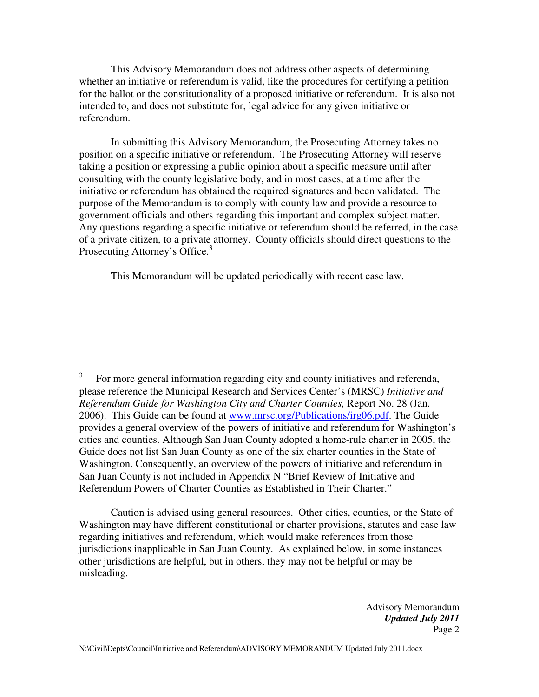This Advisory Memorandum does not address other aspects of determining whether an initiative or referendum is valid, like the procedures for certifying a petition for the ballot or the constitutionality of a proposed initiative or referendum. It is also not intended to, and does not substitute for, legal advice for any given initiative or referendum.

In submitting this Advisory Memorandum, the Prosecuting Attorney takes no position on a specific initiative or referendum. The Prosecuting Attorney will reserve taking a position or expressing a public opinion about a specific measure until after consulting with the county legislative body, and in most cases, at a time after the initiative or referendum has obtained the required signatures and been validated. The purpose of the Memorandum is to comply with county law and provide a resource to government officials and others regarding this important and complex subject matter. Any questions regarding a specific initiative or referendum should be referred, in the case of a private citizen, to a private attorney. County officials should direct questions to the Prosecuting Attorney's Office.<sup>3</sup>

This Memorandum will be updated periodically with recent case law.

 Caution is advised using general resources. Other cities, counties, or the State of Washington may have different constitutional or charter provisions, statutes and case law regarding initiatives and referendum, which would make references from those jurisdictions inapplicable in San Juan County. As explained below, in some instances other jurisdictions are helpful, but in others, they may not be helpful or may be misleading.

 3 For more general information regarding city and county initiatives and referenda, please reference the Municipal Research and Services Center's (MRSC) *Initiative and Referendum Guide for Washington City and Charter Counties,* Report No. 28 (Jan. 2006). This Guide can be found at www.mrsc.org/Publications/irg06.pdf. The Guide provides a general overview of the powers of initiative and referendum for Washington's cities and counties. Although San Juan County adopted a home-rule charter in 2005, the Guide does not list San Juan County as one of the six charter counties in the State of Washington. Consequently, an overview of the powers of initiative and referendum in San Juan County is not included in Appendix N "Brief Review of Initiative and Referendum Powers of Charter Counties as Established in Their Charter."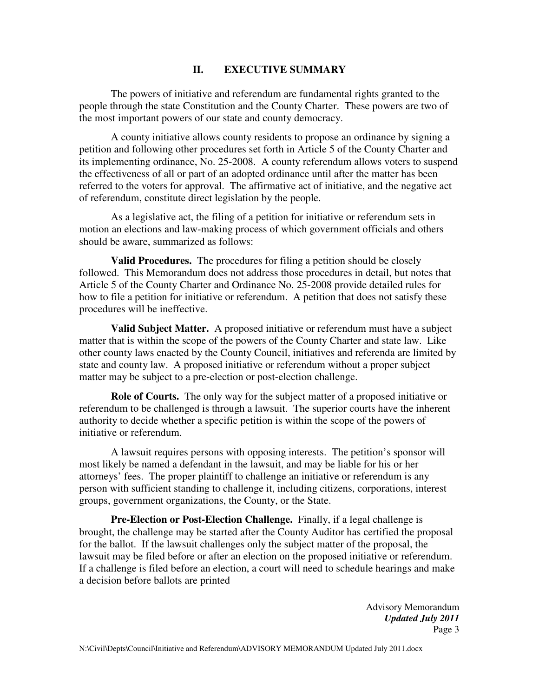#### **II. EXECUTIVE SUMMARY**

The powers of initiative and referendum are fundamental rights granted to the people through the state Constitution and the County Charter. These powers are two of the most important powers of our state and county democracy.

A county initiative allows county residents to propose an ordinance by signing a petition and following other procedures set forth in Article 5 of the County Charter and its implementing ordinance, No. 25-2008. A county referendum allows voters to suspend the effectiveness of all or part of an adopted ordinance until after the matter has been referred to the voters for approval. The affirmative act of initiative, and the negative act of referendum, constitute direct legislation by the people.

As a legislative act, the filing of a petition for initiative or referendum sets in motion an elections and law-making process of which government officials and others should be aware, summarized as follows:

**Valid Procedures.** The procedures for filing a petition should be closely followed. This Memorandum does not address those procedures in detail, but notes that Article 5 of the County Charter and Ordinance No. 25-2008 provide detailed rules for how to file a petition for initiative or referendum. A petition that does not satisfy these procedures will be ineffective.

**Valid Subject Matter.** A proposed initiative or referendum must have a subject matter that is within the scope of the powers of the County Charter and state law. Like other county laws enacted by the County Council, initiatives and referenda are limited by state and county law. A proposed initiative or referendum without a proper subject matter may be subject to a pre-election or post-election challenge.

**Role of Courts.** The only way for the subject matter of a proposed initiative or referendum to be challenged is through a lawsuit. The superior courts have the inherent authority to decide whether a specific petition is within the scope of the powers of initiative or referendum.

A lawsuit requires persons with opposing interests. The petition's sponsor will most likely be named a defendant in the lawsuit, and may be liable for his or her attorneys' fees. The proper plaintiff to challenge an initiative or referendum is any person with sufficient standing to challenge it, including citizens, corporations, interest groups, government organizations, the County, or the State.

**Pre-Election or Post-Election Challenge.** Finally, if a legal challenge is brought, the challenge may be started after the County Auditor has certified the proposal for the ballot. If the lawsuit challenges only the subject matter of the proposal, the lawsuit may be filed before or after an election on the proposed initiative or referendum. If a challenge is filed before an election, a court will need to schedule hearings and make a decision before ballots are printed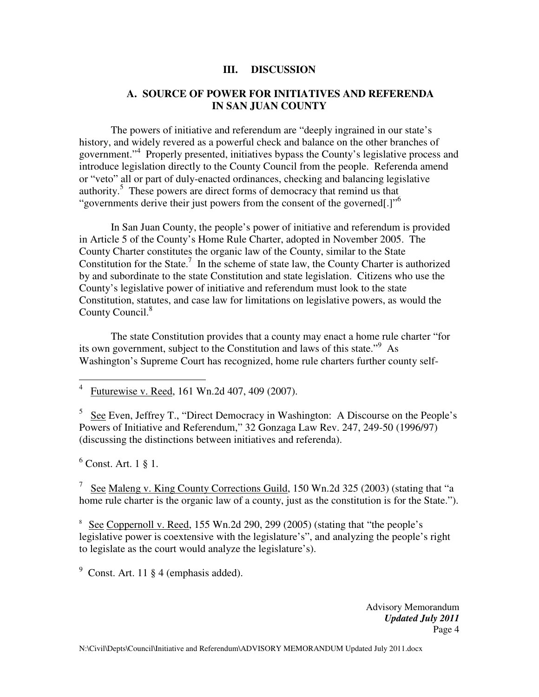#### **III. DISCUSSION**

#### **A. SOURCE OF POWER FOR INITIATIVES AND REFERENDA IN SAN JUAN COUNTY**

The powers of initiative and referendum are "deeply ingrained in our state's history, and widely revered as a powerful check and balance on the other branches of government."<sup>4</sup> Properly presented, initiatives bypass the County's legislative process and introduce legislation directly to the County Council from the people. Referenda amend or "veto" all or part of duly-enacted ordinances, checking and balancing legislative authority.<sup>5</sup> These powers are direct forms of democracy that remind us that "governments derive their just powers from the consent of the governed[.]"<sup>6</sup>

In San Juan County, the people's power of initiative and referendum is provided in Article 5 of the County's Home Rule Charter, adopted in November 2005. The County Charter constitutes the organic law of the County, similar to the State Constitution for the State.<sup>7</sup> In the scheme of state law, the County Charter is authorized by and subordinate to the state Constitution and state legislation. Citizens who use the County's legislative power of initiative and referendum must look to the state Constitution, statutes, and case law for limitations on legislative powers, as would the County Council.<sup>8</sup>

The state Constitution provides that a county may enact a home rule charter "for its own government, subject to the Constitution and laws of this state."<sup>9</sup> As Washington's Supreme Court has recognized, home rule charters further county self-

4 Futurewise v. Reed, 161 Wn.2d 407, 409 (2007).

 $5$  See Even, Jeffrey T., "Direct Democracy in Washington: A Discourse on the People's Powers of Initiative and Referendum," 32 Gonzaga Law Rev. 247, 249-50 (1996/97) (discussing the distinctions between initiatives and referenda).

6 Const. Art. 1 § 1.

 $\overline{a}$ 

<sup>7</sup> See Maleng v. King County Corrections Guild, 150 Wn.2d 325 (2003) (stating that "a home rule charter is the organic law of a county, just as the constitution is for the State.").

<sup>8</sup> See Coppernoll v. Reed, 155 Wn.2d 290, 299 (2005) (stating that "the people's legislative power is coextensive with the legislature's", and analyzing the people's right to legislate as the court would analyze the legislature's).

 $9$  Const. Art. 11  $§$  4 (emphasis added).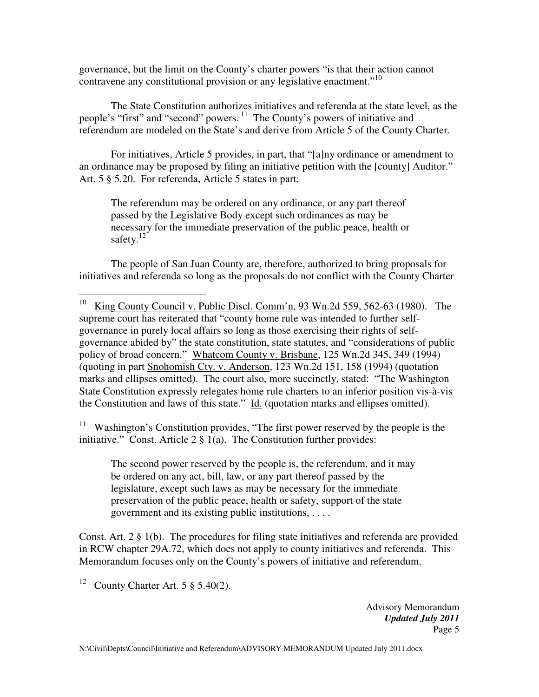governance, but the limit on the County's charter powers "is that their action cannot contravene any constitutional provision or any legislative enactment."<sup>10</sup>

The State Constitution authorizes initiatives and referenda at the state level, as the people's "first" and "second" powers.<sup>11</sup> The County's powers of initiative and referendum are modeled on the State's and derive from Article 5 of the County Charter.

For initiatives, Article 5 provides, in part, that "[a]ny ordinance or amendment to an ordinance may be proposed by filing an initiative petition with the [county] Auditor." Art. 5 § 5.20. For referenda, Article 5 states in part:

The referendum may be ordered on any ordinance, or any part thereof passed by the Legislative Body except such ordinances as may be necessary for the immediate preservation of the public peace, health or safety. $12$ 

 The people of San Juan County are, therefore, authorized to bring proposals for initiatives and referenda so long as the proposals do not conflict with the County Charter

Washington's Constitution provides, "The first power reserved by the people is the initiative." Const. Article  $2 \nless 1$ (a). The Constitution further provides:

The second power reserved by the people is, the referendum, and it may be ordered on any act, bill, law, or any part thereof passed by the legislature, except such laws as may be necessary for the immediate preservation of the public peace, health or safety, support of the state government and its existing public institutions, . . . .

Const. Art. 2 § 1(b). The procedures for filing state initiatives and referenda are provided in RCW chapter 29A.72, which does not apply to county initiatives and referenda. This Memorandum focuses only on the County's powers of initiative and referendum.

<sup>12</sup> County Charter Art. 5  $\S$  5.40(2).

 $10\,$ King County Council v. Public Discl. Comm'n, 93 Wn.2d 559, 562-63 (1980). The supreme court has reiterated that "county home rule was intended to further selfgovernance in purely local affairs so long as those exercising their rights of selfgovernance abided by" the state constitution, state statutes, and "considerations of public policy of broad concern." Whatcom County v. Brisbane, 125 Wn.2d 345, 349 (1994) (quoting in part Snohomish Cty. v. Anderson, 123 Wn.2d 151, 158 (1994) (quotation marks and ellipses omitted). The court also, more succinctly, stated: "The Washington State Constitution expressly relegates home rule charters to an inferior position vis-à-vis the Constitution and laws of this state." Id. (quotation marks and ellipses omitted).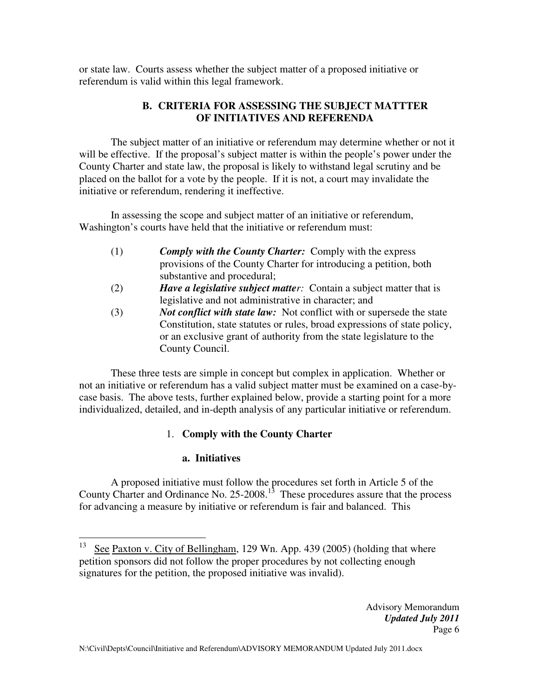or state law. Courts assess whether the subject matter of a proposed initiative or referendum is valid within this legal framework.

# **B. CRITERIA FOR ASSESSING THE SUBJECT MATTTER OF INITIATIVES AND REFERENDA**

The subject matter of an initiative or referendum may determine whether or not it will be effective. If the proposal's subject matter is within the people's power under the County Charter and state law, the proposal is likely to withstand legal scrutiny and be placed on the ballot for a vote by the people. If it is not, a court may invalidate the initiative or referendum, rendering it ineffective.

In assessing the scope and subject matter of an initiative or referendum, Washington's courts have held that the initiative or referendum must:

- (1) *Comply with the County Charter:* Comply with the express provisions of the County Charter for introducing a petition, both substantive and procedural;
- (2) *Have a legislative subject matter:* Contain a subject matter that is legislative and not administrative in character; and
- (3) *Not conflict with state law:* Not conflict with or supersede the state Constitution, state statutes or rules, broad expressions of state policy, or an exclusive grant of authority from the state legislature to the County Council.

These three tests are simple in concept but complex in application. Whether or not an initiative or referendum has a valid subject matter must be examined on a case-bycase basis. The above tests, further explained below, provide a starting point for a more individualized, detailed, and in-depth analysis of any particular initiative or referendum.

# 1. **Comply with the County Charter**

# **a. Initiatives**

A proposed initiative must follow the procedures set forth in Article 5 of the County Charter and Ordinance No.  $25{\text -}2008$ <sup>13</sup>. These procedures assure that the process for advancing a measure by initiative or referendum is fair and balanced. This

<sup>13</sup> See Paxton v. City of Bellingham, 129 Wn. App. 439 (2005) (holding that where petition sponsors did not follow the proper procedures by not collecting enough signatures for the petition, the proposed initiative was invalid).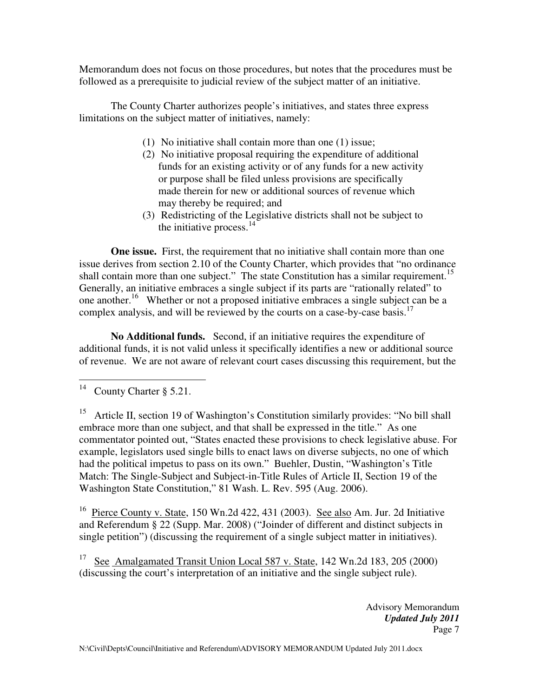Memorandum does not focus on those procedures, but notes that the procedures must be followed as a prerequisite to judicial review of the subject matter of an initiative.

The County Charter authorizes people's initiatives, and states three express limitations on the subject matter of initiatives, namely:

- (1) No initiative shall contain more than one (1) issue;
- (2) No initiative proposal requiring the expenditure of additional funds for an existing activity or of any funds for a new activity or purpose shall be filed unless provisions are specifically made therein for new or additional sources of revenue which may thereby be required; and
- (3) Redistricting of the Legislative districts shall not be subject to the initiative process. $14$

**One issue.** First, the requirement that no initiative shall contain more than one issue derives from section 2.10 of the County Charter, which provides that "no ordinance shall contain more than one subject." The state Constitution has a similar requirement.<sup>15</sup> Generally, an initiative embraces a single subject if its parts are "rationally related" to one another.<sup>16</sup> Whether or not a proposed initiative embraces a single subject can be a complex analysis, and will be reviewed by the courts on a case-by-case basis.<sup>17</sup>

**No Additional funds.** Second, if an initiative requires the expenditure of additional funds, it is not valid unless it specifically identifies a new or additional source of revenue. We are not aware of relevant court cases discussing this requirement, but the

<sup>16</sup> Pierce County v. State, 150 Wn.2d 422, 431 (2003). See also Am. Jur. 2d Initiative and Referendum § 22 (Supp. Mar. 2008) ("Joinder of different and distinct subjects in single petition") (discussing the requirement of a single subject matter in initiatives).

<sup>17</sup> See Amalgamated Transit Union Local 587 v. State, 142 Wn.2d 183, 205 (2000) (discussing the court's interpretation of an initiative and the single subject rule).

 $14$ County Charter § 5.21.

<sup>&</sup>lt;sup>15</sup> Article II, section 19 of Washington's Constitution similarly provides: "No bill shall embrace more than one subject, and that shall be expressed in the title." As one commentator pointed out, "States enacted these provisions to check legislative abuse. For example, legislators used single bills to enact laws on diverse subjects, no one of which had the political impetus to pass on its own." Buehler, Dustin, "Washington's Title Match: The Single-Subject and Subject-in-Title Rules of Article II, Section 19 of the Washington State Constitution," 81 Wash. L. Rev. 595 (Aug. 2006).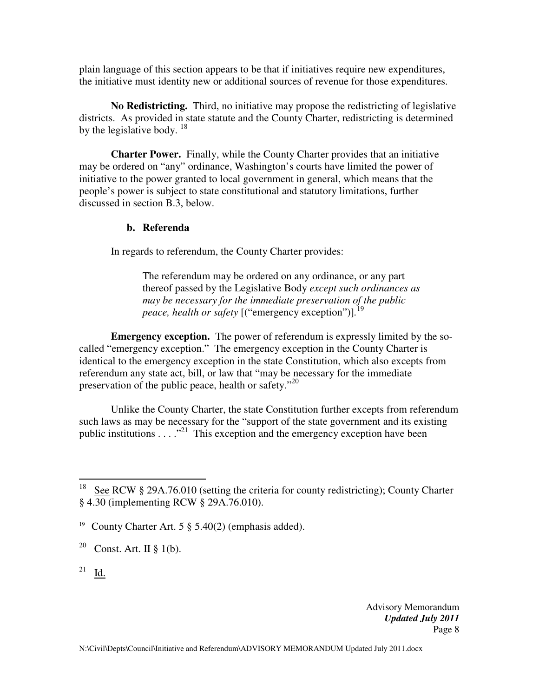plain language of this section appears to be that if initiatives require new expenditures, the initiative must identity new or additional sources of revenue for those expenditures.

**No Redistricting.** Third, no initiative may propose the redistricting of legislative districts. As provided in state statute and the County Charter, redistricting is determined by the legislative body.  $^{18}$ 

**Charter Power.** Finally, while the County Charter provides that an initiative may be ordered on "any" ordinance, Washington's courts have limited the power of initiative to the power granted to local government in general, which means that the people's power is subject to state constitutional and statutory limitations, further discussed in section B.3, below.

#### **b. Referenda**

In regards to referendum, the County Charter provides:

The referendum may be ordered on any ordinance, or any part thereof passed by the Legislative Body *except such ordinances as may be necessary for the immediate preservation of the public peace, health or safety* [("emergency exception")]*.* 19

**Emergency exception.** The power of referendum is expressly limited by the socalled "emergency exception." The emergency exception in the County Charter is identical to the emergency exception in the state Constitution, which also excepts from referendum any state act, bill, or law that "may be necessary for the immediate preservation of the public peace, health or safety."<sup>20</sup>

Unlike the County Charter, the state Constitution further excepts from referendum such laws as may be necessary for the "support of the state government and its existing public institutions  $\dots$ <sup>21</sup>. This exception and the emergency exception have been

 $^{21}$  Id.

 $\overline{a}$ 

<sup>&</sup>lt;sup>18</sup> See RCW § 29A.76.010 (setting the criteria for county redistricting); County Charter § 4.30 (implementing RCW § 29A.76.010).

<sup>19</sup> County Charter Art. 5 § 5.40(2) (emphasis added).

<sup>&</sup>lt;sup>20</sup> Const. Art. II § 1(b).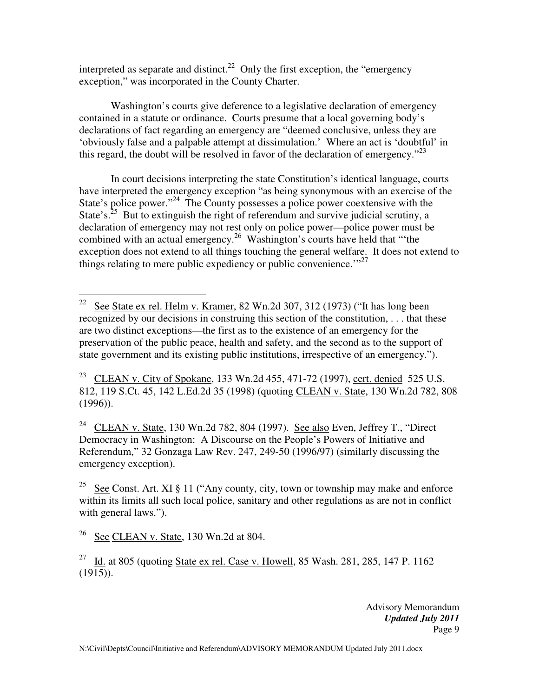interpreted as separate and distinct.<sup>22</sup> Only the first exception, the "emergency" exception," was incorporated in the County Charter.

Washington's courts give deference to a legislative declaration of emergency contained in a statute or ordinance. Courts presume that a local governing body's declarations of fact regarding an emergency are "deemed conclusive, unless they are 'obviously false and a palpable attempt at dissimulation.' Where an act is 'doubtful' in this regard, the doubt will be resolved in favor of the declaration of emergency."<sup>23</sup>

In court decisions interpreting the state Constitution's identical language, courts have interpreted the emergency exception "as being synonymous with an exercise of the State's police power."<sup>24</sup> The County possesses a police power coextensive with the State's.<sup>25</sup> But to extinguish the right of referendum and survive judicial scrutiny, a declaration of emergency may not rest only on police power—police power must be combined with an actual emergency.<sup>26</sup> Washington's courts have held that "the exception does not extend to all things touching the general welfare. It does not extend to things relating to mere public expediency or public convenience."<sup>27</sup>

<sup>23</sup> CLEAN v. City of Spokane, 133 Wn.2d 455, 471-72 (1997), cert. denied 525 U.S. 812, 119 S.Ct. 45, 142 L.Ed.2d 35 (1998) (quoting CLEAN v. State, 130 Wn.2d 782, 808  $(1996)$ ).

<sup>24</sup> CLEAN v. State, 130 Wn.2d 782, 804 (1997). See also Even, Jeffrey T., "Direct Democracy in Washington: A Discourse on the People's Powers of Initiative and Referendum," 32 Gonzaga Law Rev. 247, 249-50 (1996/97) (similarly discussing the emergency exception).

<sup>25</sup> See Const. Art. XI § 11 ("Any county, city, town or township may make and enforce within its limits all such local police, sanitary and other regulations as are not in conflict with general laws.").

 $^{26}$  See CLEAN v. State, 130 Wn.2d at 804.

 $\overline{a}$ <sup>22</sup> See State ex rel. Helm v. Kramer, 82 Wn.2d 307, 312 (1973) ("It has long been recognized by our decisions in construing this section of the constitution, . . . that these are two distinct exceptions—the first as to the existence of an emergency for the preservation of the public peace, health and safety, and the second as to the support of state government and its existing public institutions, irrespective of an emergency.").

<sup>&</sup>lt;sup>27</sup> Id. at 805 (quoting State ex rel. Case v. Howell, 85 Wash. 281, 285, 147 P. 1162  $(1915)$ .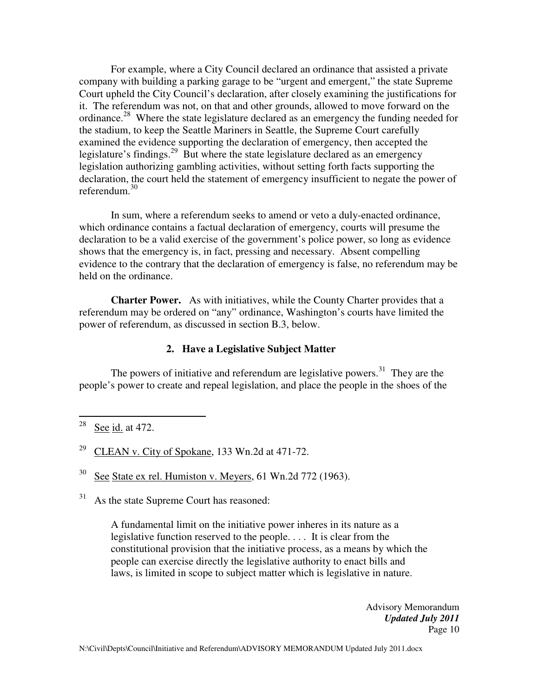For example, where a City Council declared an ordinance that assisted a private company with building a parking garage to be "urgent and emergent," the state Supreme Court upheld the City Council's declaration, after closely examining the justifications for it. The referendum was not, on that and other grounds, allowed to move forward on the ordinance.<sup>28</sup> Where the state legislature declared as an emergency the funding needed for the stadium, to keep the Seattle Mariners in Seattle, the Supreme Court carefully examined the evidence supporting the declaration of emergency, then accepted the legislature's findings.<sup>29</sup> But where the state legislature declared as an emergency legislation authorizing gambling activities, without setting forth facts supporting the declaration, the court held the statement of emergency insufficient to negate the power of referendum.<sup>30</sup>

In sum, where a referendum seeks to amend or veto a duly-enacted ordinance, which ordinance contains a factual declaration of emergency, courts will presume the declaration to be a valid exercise of the government's police power, so long as evidence shows that the emergency is, in fact, pressing and necessary. Absent compelling evidence to the contrary that the declaration of emergency is false, no referendum may be held on the ordinance.

**Charter Power.** As with initiatives, while the County Charter provides that a referendum may be ordered on "any" ordinance, Washington's courts have limited the power of referendum, as discussed in section B.3, below.

#### **2. Have a Legislative Subject Matter**

The powers of initiative and referendum are legislative powers.<sup>31</sup> They are the people's power to create and repeal legislation, and place the people in the shoes of the

 $\overline{a}$ 

 $30$  See State ex rel. Humiston v. Meyers, 61 Wn.2d 772 (1963).

31 As the state Supreme Court has reasoned:

> A fundamental limit on the initiative power inheres in its nature as a legislative function reserved to the people. . . . It is clear from the constitutional provision that the initiative process, as a means by which the people can exercise directly the legislative authority to enact bills and laws, is limited in scope to subject matter which is legislative in nature.

 $28$  See id. at 472.

<sup>&</sup>lt;sup>29</sup> CLEAN v. City of Spokane, 133 Wn.2d at 471-72.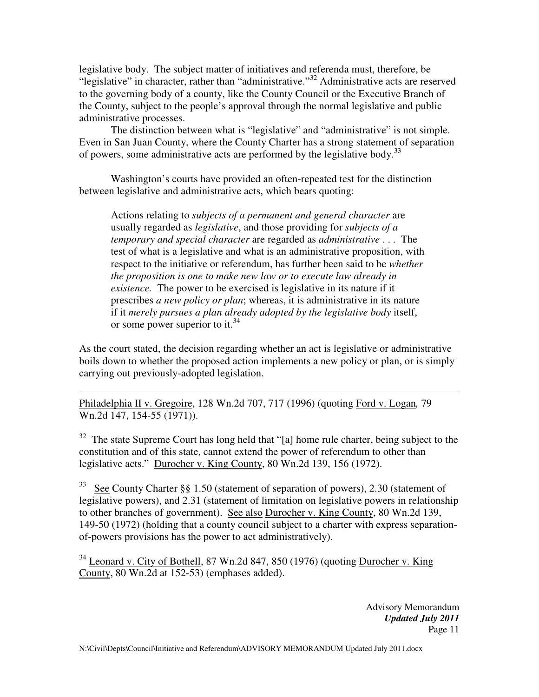legislative body. The subject matter of initiatives and referenda must, therefore, be "legislative" in character, rather than "administrative."<sup>32</sup> Administrative acts are reserved to the governing body of a county, like the County Council or the Executive Branch of the County, subject to the people's approval through the normal legislative and public administrative processes.

The distinction between what is "legislative" and "administrative" is not simple. Even in San Juan County, where the County Charter has a strong statement of separation of powers, some administrative acts are performed by the legislative body.<sup>33</sup>

Washington's courts have provided an often-repeated test for the distinction between legislative and administrative acts, which bears quoting:

Actions relating to *subjects of a permanent and general character* are usually regarded as *legislative*, and those providing for *subjects of a temporary and special character* are regarded as *administrative* . . . The test of what is a legislative and what is an administrative proposition, with respect to the initiative or referendum, has further been said to be *whether the proposition is one to make new law or to execute law already in existence.* The power to be exercised is legislative in its nature if it prescribes *a new policy or plan*; whereas, it is administrative in its nature if it *merely pursues a plan already adopted by the legislative body* itself, or some power superior to it.<sup>34</sup>

As the court stated, the decision regarding whether an act is legislative or administrative boils down to whether the proposed action implements a new policy or plan, or is simply carrying out previously-adopted legislation.

 $\overline{a}$ Philadelphia II v. Gregoire, 128 Wn.2d 707, 717 (1996) (quoting Ford v. Logan*,* 79 Wn.2d 147, 154-55 (1971)).

 $32$  The state Supreme Court has long held that "[a] home rule charter, being subject to the constitution and of this state, cannot extend the power of referendum to other than legislative acts." Durocher v. King County, 80 Wn.2d 139, 156 (1972).

<sup>33</sup> See County Charter §§ 1.50 (statement of separation of powers), 2.30 (statement of legislative powers), and 2.31 (statement of limitation on legislative powers in relationship to other branches of government). See also Durocher v. King County, 80 Wn.2d 139, 149-50 (1972) (holding that a county council subject to a charter with express separationof-powers provisions has the power to act administratively).

<sup>34</sup> Leonard v. City of Bothell, 87 Wn.2d 847, 850 (1976) (quoting Durocher v. King County, 80 Wn.2d at 152-53) (emphases added).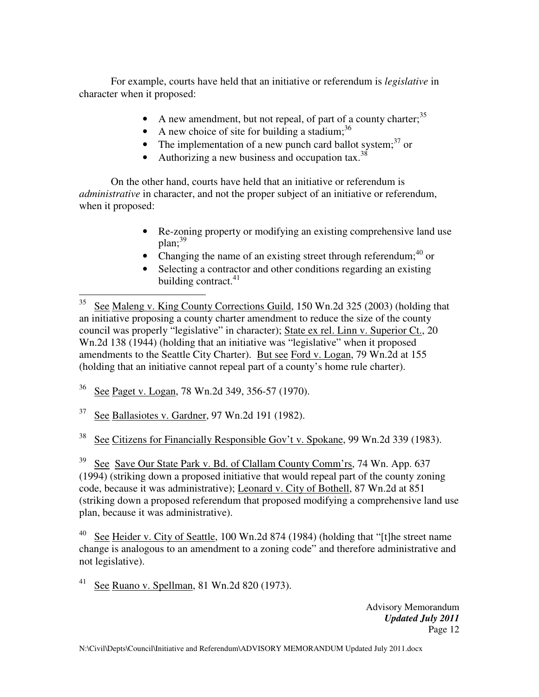For example, courts have held that an initiative or referendum is *legislative* in character when it proposed:

- A new amendment, but not repeal, of part of a county charter;  $35$
- A new choice of site for building a stadium;  $36$
- The implementation of a new punch card ballot system; $^{37}$  or
- Authorizing a new business and occupation tax.  $38$

On the other hand, courts have held that an initiative or referendum is *administrative* in character, and not the proper subject of an initiative or referendum, when it proposed:

- Re-zoning property or modifying an existing comprehensive land use  $plan:$ <sup>39</sup>
- Changing the name of an existing street through referendum;  $40$  or
- Selecting a contractor and other conditions regarding an existing building contract. $41$

<sup>36</sup> See Paget v. Logan, 78 Wn.2d 349, 356-57 (1970).

 $37$  See Ballasiotes v. Gardner, 97 Wn.2d 191 (1982).

<sup>38</sup> See Citizens for Financially Responsible Gov't v. Spokane, 99 Wn.2d 339 (1983).

<sup>39</sup> See Save Our State Park v. **Bd. of Clallam County Comm'rs**, 74 Wn. App. 637 (1994) (striking down a proposed initiative that would repeal part of the county zoning code, because it was administrative); Leonard v. City of Bothell, 87 Wn.2d at 851 (striking down a proposed referendum that proposed modifying a comprehensive land use plan, because it was administrative).

See Heider v. City of Seattle, 100 Wn.2d 874 (1984) (holding that "[t]he street name change is analogous to an amendment to a zoning code" and therefore administrative and not legislative).

<sup>41</sup> See Ruano v. Spellman, 81 Wn.2d 820 (1973).

 $\overline{a}$ <sup>35</sup> See Maleng v. King County Corrections Guild, 150 Wn.2d 325 (2003) (holding that an initiative proposing a county charter amendment to reduce the size of the county council was properly "legislative" in character); State ex rel. Linn v. Superior Ct., 20 Wn.2d 138 (1944) (holding that an initiative was "legislative" when it proposed amendments to the Seattle City Charter). But see Ford v. Logan, 79 Wn.2d at 155 (holding that an initiative cannot repeal part of a county's home rule charter).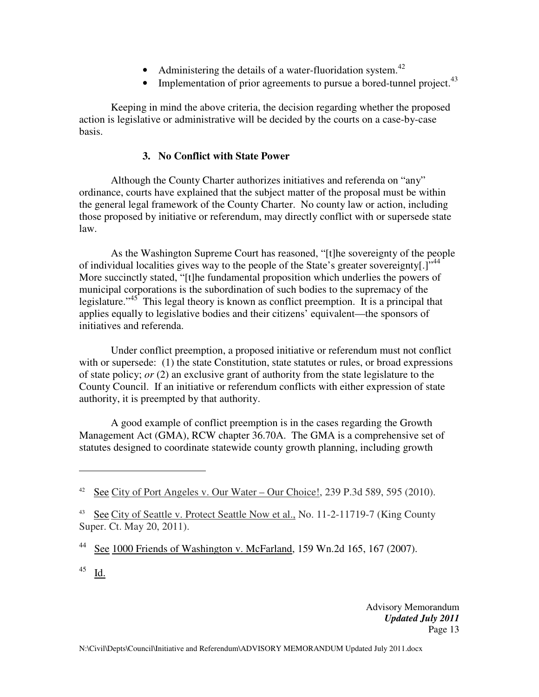- Administering the details of a water-fluoridation system.<sup>42</sup>
- Implementation of prior agreements to pursue a bored-tunnel project.  $43$

Keeping in mind the above criteria, the decision regarding whether the proposed action is legislative or administrative will be decided by the courts on a case-by-case basis.

## **3. No Conflict with State Power**

Although the County Charter authorizes initiatives and referenda on "any" ordinance, courts have explained that the subject matter of the proposal must be within the general legal framework of the County Charter. No county law or action, including those proposed by initiative or referendum, may directly conflict with or supersede state law.

As the Washington Supreme Court has reasoned, "[t]he sovereignty of the people of individual localities gives way to the people of the State's greater sovereignty[.]"<sup>44</sup> More succinctly stated, "[t]he fundamental proposition which underlies the powers of municipal corporations is the subordination of such bodies to the supremacy of the legislature."<sup>45</sup> This legal theory is known as conflict preemption. It is a principal that applies equally to legislative bodies and their citizens' equivalent—the sponsors of initiatives and referenda.

Under conflict preemption, a proposed initiative or referendum must not conflict with or supersede: (1) the state Constitution, state statutes or rules, or broad expressions of state policy; *or* (2) an exclusive grant of authority from the state legislature to the County Council. If an initiative or referendum conflicts with either expression of state authority, it is preempted by that authority.

 A good example of conflict preemption is in the cases regarding the Growth Management Act (GMA), RCW chapter 36.70A. The GMA is a comprehensive set of statutes designed to coordinate statewide county growth planning, including growth

 $^{45}$  Id.

 $\overline{a}$ 

<sup>42</sup> See City of Port Angeles v. Our Water – Our Choice!, 239 P.3d 589, 595 (2010).

<sup>&</sup>lt;sup>43</sup> See City of Seattle v. Protect Seattle Now et al., No. 11-2-11719-7 (King County Super. Ct. May 20, 2011).

<sup>&</sup>lt;sup>44</sup> See 1000 Friends of Washington v. McFarland, 159 Wn.2d 165, 167 (2007).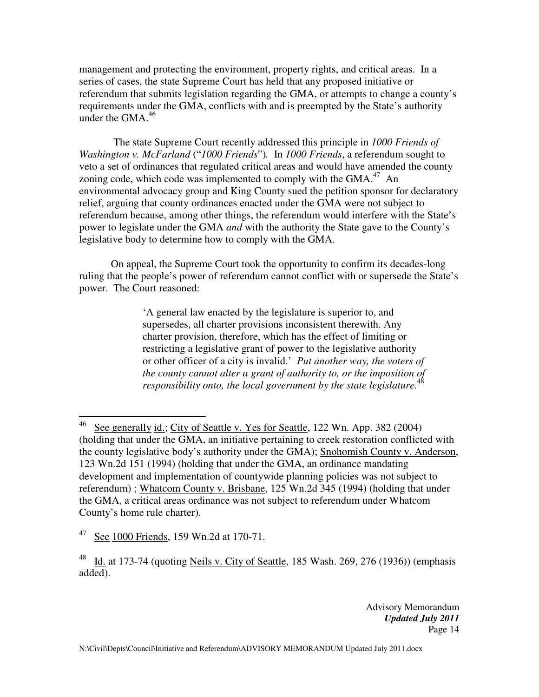management and protecting the environment, property rights, and critical areas. In a series of cases, the state Supreme Court has held that any proposed initiative or referendum that submits legislation regarding the GMA, or attempts to change a county's requirements under the GMA, conflicts with and is preempted by the State's authority under the GMA. $46$ 

 The state Supreme Court recently addressed this principle in *1000 Friends of Washington v. McFarland* ("*1000 Friends*")*.* In *1000 Friends*, a referendum sought to veto a set of ordinances that regulated critical areas and would have amended the county zoning code, which code was implemented to comply with the GMA. $47$  An environmental advocacy group and King County sued the petition sponsor for declaratory relief, arguing that county ordinances enacted under the GMA were not subject to referendum because, among other things, the referendum would interfere with the State's power to legislate under the GMA *and* with the authority the State gave to the County's legislative body to determine how to comply with the GMA.

 On appeal, the Supreme Court took the opportunity to confirm its decades-long ruling that the people's power of referendum cannot conflict with or supersede the State's power. The Court reasoned:

> 'A general law enacted by the legislature is superior to, and supersedes, all charter provisions inconsistent therewith. Any charter provision, therefore, which has the effect of limiting or restricting a legislative grant of power to the legislative authority or other officer of a city is invalid.' *Put another way, the voters of the county cannot alter a grant of authority to, or the imposition of responsibility onto, the local government by the state legislature.*<sup>48</sup>

 $\overline{a}$ 

<sup>&</sup>lt;sup>46</sup> See generally id.; City of Seattle v. Yes for Seattle, 122 Wn. App. 382 (2004) (holding that under the GMA, an initiative pertaining to creek restoration conflicted with the county legislative body's authority under the GMA); Snohomish County v. Anderson, 123 Wn.2d 151 (1994) (holding that under the GMA, an ordinance mandating development and implementation of countywide planning policies was not subject to referendum) ; Whatcom County v. Brisbane, 125 Wn.2d 345 (1994) (holding that under the GMA, a critical areas ordinance was not subject to referendum under Whatcom County's home rule charter).

 $47$  See 1000 Friends, 159 Wn.2d at 170-71.

<sup>&</sup>lt;sup>48</sup> Id. at 173-74 (quoting Neils v. City of Seattle, 185 Wash. 269, 276 (1936)) (emphasis added).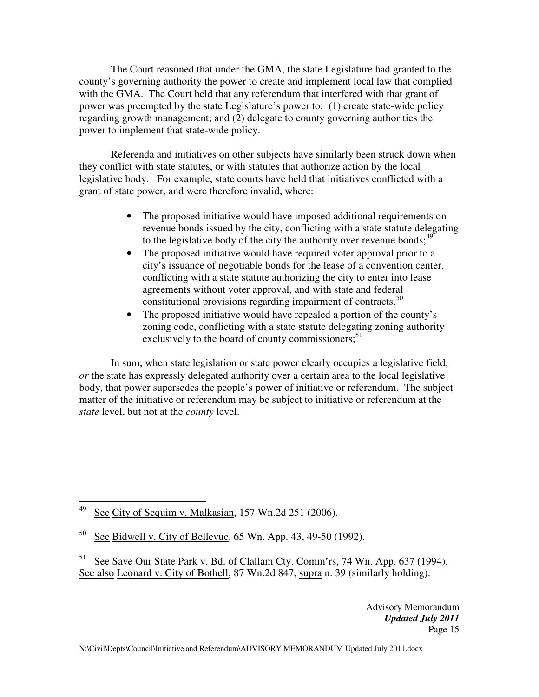The Court reasoned that under the GMA, the state Legislature had granted to the county's governing authority the power to create and implement local law that complied with the GMA. The Court held that any referendum that interfered with that grant of power was preempted by the state Legislature's power to: (1) create state-wide policy regarding growth management; and (2) delegate to county governing authorities the power to implement that state-wide policy.

 Referenda and initiatives on other subjects have similarly been struck down when they conflict with state statutes, or with statutes that authorize action by the local legislative body. For example, state courts have held that initiatives conflicted with a grant of state power, and were therefore invalid, where:

- The proposed initiative would have imposed additional requirements on revenue bonds issued by the city, conflicting with a state statute delegating to the legislative body of the city the authority over revenue bonds;  $49$
- The proposed initiative would have required voter approval prior to a city's issuance of negotiable bonds for the lease of a convention center, conflicting with a state statute authorizing the city to enter into lease agreements without voter approval, and with state and federal constitutional provisions regarding impairment of contracts.<sup>50</sup>
- The proposed initiative would have repealed a portion of the county's zoning code, conflicting with a state statute delegating zoning authority exclusively to the board of county commissioners; $51$

 In sum, when state legislation or state power clearly occupies a legislative field, *or* the state has expressly delegated authority over a certain area to the local legislative body, that power supersedes the people's power of initiative or referendum. The subject matter of the initiative or referendum may be subject to initiative or referendum at the *state* level, but not at the *county* level.

<sup>49</sup> See City of Sequim v. Malkasian, 157 Wn.2d 251 (2006).

 $50\text{ See }$  Bidwell v. City of Bellevue, 65 Wn. App. 43, 49-50 (1992).

<sup>&</sup>lt;sup>51</sup> See Save Ou<u>r State Park v. Bd. of Clallam Cty. Comm'rs</u>, 74 Wn. App. 637 (1994). See also Leonard v. City of Bothell, 87 Wn.2d 847, supra n. 39 (similarly holding).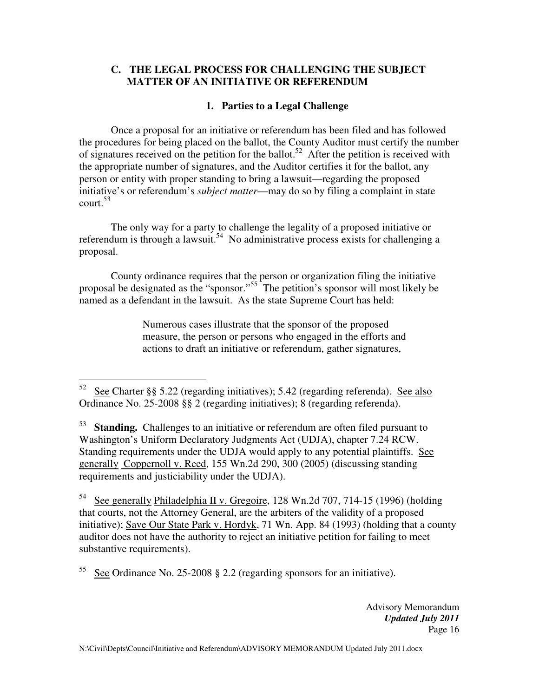### **C. THE LEGAL PROCESS FOR CHALLENGING THE SUBJECT MATTER OF AN INITIATIVE OR REFERENDUM**

### **1. Parties to a Legal Challenge**

Once a proposal for an initiative or referendum has been filed and has followed the procedures for being placed on the ballot, the County Auditor must certify the number of signatures received on the petition for the ballot.<sup>52</sup> After the petition is received with the appropriate number of signatures, and the Auditor certifies it for the ballot, any person or entity with proper standing to bring a lawsuit—regarding the proposed initiative's or referendum's *subject matter*—may do so by filing a complaint in state  $\text{court.}^{53}$ 

The only way for a party to challenge the legality of a proposed initiative or referendum is through a lawsuit.<sup>54</sup> No administrative process exists for challenging a proposal.

County ordinance requires that the person or organization filing the initiative proposal be designated as the "sponsor."<sup>55</sup> The petition's sponsor will most likely be named as a defendant in the lawsuit. As the state Supreme Court has held:

> Numerous cases illustrate that the sponsor of the proposed measure, the person or persons who engaged in the efforts and actions to draft an initiative or referendum, gather signatures,

<sup>53</sup> Standing. Challenges to an initiative or referendum are often filed pursuant to Washington's Uniform Declaratory Judgments Act (UDJA), chapter 7.24 RCW. Standing requirements under the UDJA would apply to any potential plaintiffs. See generally Coppernoll v. Reed, 155 Wn.2d 290, 300 (2005) (discussing standing requirements and justiciability under the UDJA).

<sup>54</sup> See generally Philadelphia II v. Gregoire, 128 Wn.2d 707, 714-15 (1996) (holding that courts, not the Attorney General, are the arbiters of the validity of a proposed initiative); Save Our State Park v. Hordyk, 71 Wn. App. 84 (1993) (holding that a county auditor does not have the authority to reject an initiative petition for failing to meet substantive requirements).

<sup>55</sup> See Ordinance No. 25-2008 § 2.2 (regarding sponsors for an initiative).

<sup>52</sup> <sup>52</sup> See Charter §§ 5.22 (regarding initiatives); 5.42 (regarding referenda). See also Ordinance No. 25-2008 §§ 2 (regarding initiatives); 8 (regarding referenda).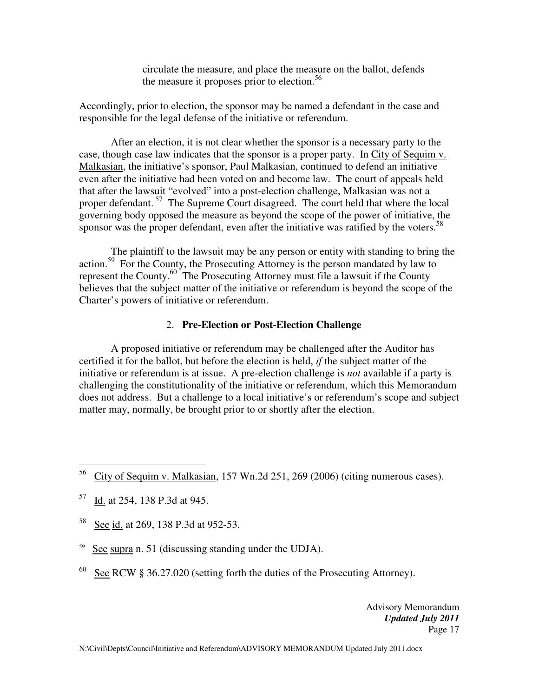circulate the measure, and place the measure on the ballot, defends the measure it proposes prior to election.<sup>56</sup>

Accordingly, prior to election, the sponsor may be named a defendant in the case and responsible for the legal defense of the initiative or referendum.

After an election, it is not clear whether the sponsor is a necessary party to the case, though case law indicates that the sponsor is a proper party. In City of Sequim v. Malkasian, the initiative's sponsor, Paul Malkasian, continued to defend an initiative even after the initiative had been voted on and become law. The court of appeals held that after the lawsuit "evolved" into a post-election challenge, Malkasian was not a proper defendant.<sup>57</sup> The Supreme Court disagreed. The court held that where the local governing body opposed the measure as beyond the scope of the power of initiative, the sponsor was the proper defendant, even after the initiative was ratified by the voters.<sup>58</sup>

The plaintiff to the lawsuit may be any person or entity with standing to bring the action.<sup>59</sup> For the County, the Prosecuting Attorney is the person mandated by law to represent the County.<sup>60</sup> The Prosecuting Attorney must file a lawsuit if the County believes that the subject matter of the initiative or referendum is beyond the scope of the Charter's powers of initiative or referendum.

#### 2. **Pre-Election or Post-Election Challenge**

A proposed initiative or referendum may be challenged after the Auditor has certified it for the ballot, but before the election is held, *if* the subject matter of the initiative or referendum is at issue. A pre-election challenge is *not* available if a party is challenging the constitutionality of the initiative or referendum, which this Memorandum does not address. But a challenge to a local initiative's or referendum's scope and subject matter may, normally, be brought prior to or shortly after the election.

- <sup>59</sup> See supra n. 51 (discussing standing under the UDJA).
- <sup>60</sup> See RCW § 36.27.020 (setting forth the duties of the Prosecuting Attorney).

<sup>56</sup> <sup>56</sup> City of Sequim v. Malkasian, 157 Wn.2d 251, 269 (2006) (citing numerous cases).

<sup>57</sup> Id. at 254, 138 P.3d at 945.

<sup>58</sup> See id. at 269, 138 P.3d at 952-53.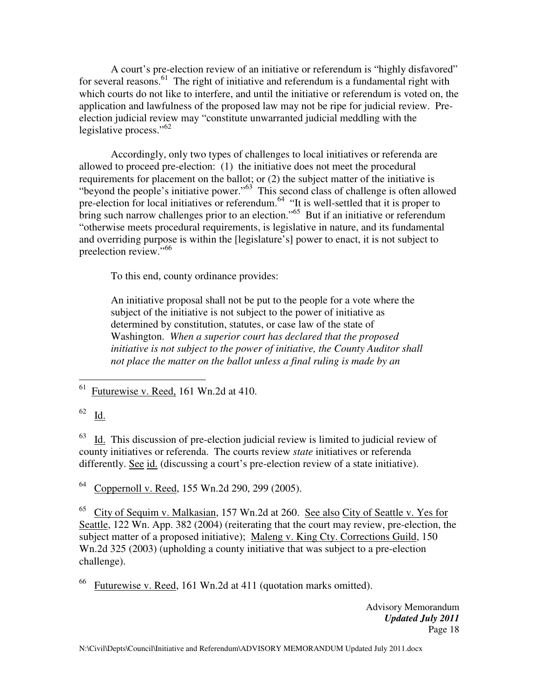A court's pre-election review of an initiative or referendum is "highly disfavored" for several reasons.<sup>61</sup> The right of initiative and referendum is a fundamental right with which courts do not like to interfere, and until the initiative or referendum is voted on, the application and lawfulness of the proposed law may not be ripe for judicial review. Preelection judicial review may "constitute unwarranted judicial meddling with the legislative process."<sup>62</sup>

Accordingly, only two types of challenges to local initiatives or referenda are allowed to proceed pre-election: (1) the initiative does not meet the procedural requirements for placement on the ballot; or (2) the subject matter of the initiative is "beyond the people's initiative power."<sup>63</sup> This second class of challenge is often allowed pre-election for local initiatives or referendum.<sup>64</sup> "It is well-settled that it is proper to bring such narrow challenges prior to an election."<sup>65</sup> But if an initiative or referendum "otherwise meets procedural requirements, is legislative in nature, and its fundamental and overriding purpose is within the [legislature's] power to enact, it is not subject to preelection review."<sup>66</sup>

To this end, county ordinance provides:

An initiative proposal shall not be put to the people for a vote where the subject of the initiative is not subject to the power of initiative as determined by constitution, statutes, or case law of the state of Washington. *When a superior court has declared that the proposed initiative is not subject to the power of initiative, the County Auditor shall not place the matter on the ballot unless a final ruling is made by an* 

 $\overline{a}$  $<sup>61</sup>$  Futurewise v. Reed, 161 Wn.2d at 410.</sup>

<sup>62</sup> Id.

 $63$  Id. This discussion of pre-election judicial review is limited to judicial review of county initiatives or referenda. The courts review *state* initiatives or referenda differently. See id. (discussing a court's pre-election review of a state initiative).

<sup>64</sup> Coppernoll v. Reed, 155 Wn.2d 290, 299 (2005).

<sup>65</sup> City of Sequim v. Malkasian, 157 Wn.2d at 260. See also City of Seattle v. Yes for Seattle, 122 Wn. App. 382 (2004) (reiterating that the court may review, pre-election, the subject matter of a proposed initiative); Maleng v. King Cty. Corrections Guild, 150 Wn.2d 325 (2003) (upholding a county initiative that was subject to a pre-election challenge).

 $^{66}$  Futurewise v. Reed, 161 Wn.2d at 411 (quotation marks omitted).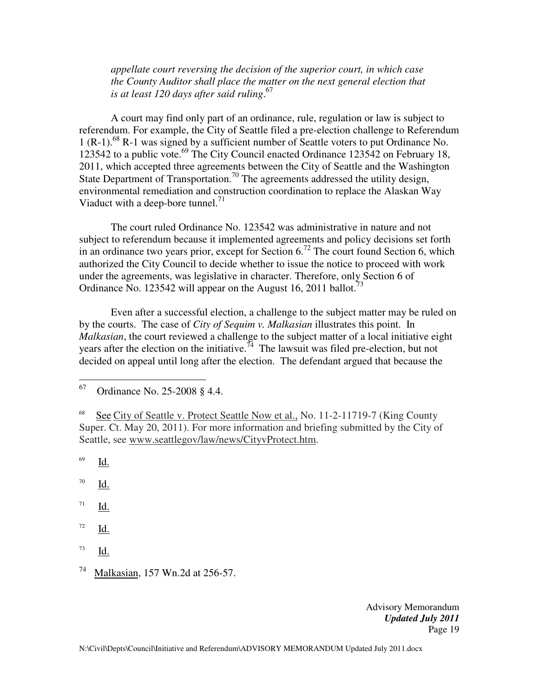*appellate court reversing the decision of the superior court, in which case the County Auditor shall place the matter on the next general election that is at least 120 days after said ruling*. 67

A court may find only part of an ordinance, rule, regulation or law is subject to referendum. For example, the City of Seattle filed a pre-election challenge to Referendum 1 (R-1).<sup>68</sup> R-1 was signed by a sufficient number of Seattle voters to put Ordinance No. 123542 to a public vote.<sup>69</sup> The City Council enacted Ordinance 123542 on February 18, 2011, which accepted three agreements between the City of Seattle and the Washington State Department of Transportation.<sup>70</sup> The agreements addressed the utility design, environmental remediation and construction coordination to replace the Alaskan Way Viaduct with a deep-bore tunnel. $^{71}$ 

The court ruled Ordinance No. 123542 was administrative in nature and not subject to referendum because it implemented agreements and policy decisions set forth in an ordinance two years prior, except for Section  $6<sup>72</sup>$  The court found Section 6, which authorized the City Council to decide whether to issue the notice to proceed with work under the agreements, was legislative in character. Therefore, only Section 6 of Ordinance No. 123542 will appear on the August 16, 2011 ballot.<sup>73</sup>

Even after a successful election, a challenge to the subject matter may be ruled on by the courts. The case of *City of Sequim v. Malkasian* illustrates this point. In *Malkasian*, the court reviewed a challenge to the subject matter of a local initiative eight years after the election on the initiative.<sup>74</sup> The lawsuit was filed pre-election, but not decided on appeal until long after the election. The defendant argued that because the

69 Id.

70 Id.

71 Id.

- 72 Id.
- 73 Id.

<sup>67</sup> Ordinance No. 25-2008 § 4.4.

<sup>68</sup> See City of Seattle v. Protect Seattle Now et al., No. 11-2-11719-7 (King County Super. Ct. May 20, 2011). For more information and briefing submitted by the City of Seattle, see www.seattlegov/law/news/CityvProtect.htm.

<sup>74</sup> Malkasian, 157 Wn.2d at 256-57.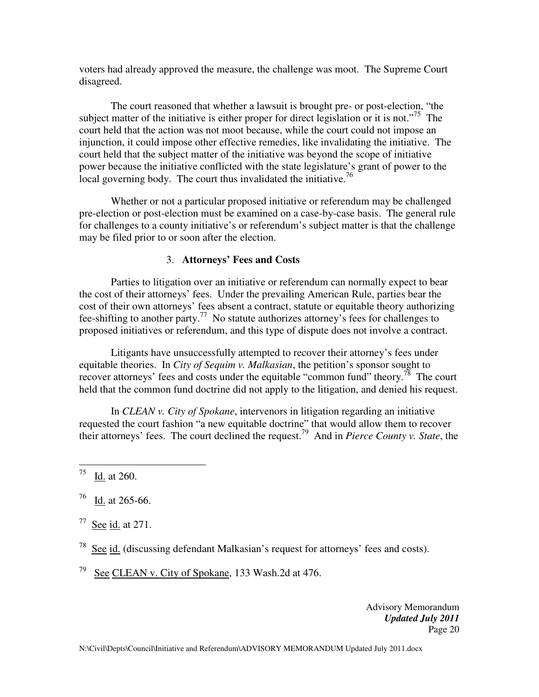voters had already approved the measure, the challenge was moot. The Supreme Court disagreed.

The court reasoned that whether a lawsuit is brought pre- or post-election, "the subject matter of the initiative is either proper for direct legislation or it is not."<sup>75</sup> The court held that the action was not moot because, while the court could not impose an injunction, it could impose other effective remedies, like invalidating the initiative. The court held that the subject matter of the initiative was beyond the scope of initiative power because the initiative conflicted with the state legislature's grant of power to the local governing body. The court thus invalidated the initiative.<sup>76</sup>

Whether or not a particular proposed initiative or referendum may be challenged pre-election or post-election must be examined on a case-by-case basis. The general rule for challenges to a county initiative's or referendum's subject matter is that the challenge may be filed prior to or soon after the election.

### 3. **Attorneys' Fees and Costs**

Parties to litigation over an initiative or referendum can normally expect to bear the cost of their attorneys' fees. Under the prevailing American Rule, parties bear the cost of their own attorneys' fees absent a contract, statute or equitable theory authorizing fee-shifting to another party.<sup>77</sup> No statute authorizes attorney's fees for challenges to proposed initiatives or referendum, and this type of dispute does not involve a contract.

Litigants have unsuccessfully attempted to recover their attorney's fees under equitable theories. In *City of Sequim v. Malkasian*, the petition's sponsor sought to recover attorneys' fees and costs under the equitable "common fund" theory.<sup>78</sup> The court held that the common fund doctrine did not apply to the litigation, and denied his request.

In *CLEAN v. City of Spokane*, intervenors in litigation regarding an initiative requested the court fashion "a new equitable doctrine" that would allow them to recover their attorneys' fees. The court declined the request.<sup>79</sup> And in *Pierce County v. State*, the

<sup>76</sup> Id. at 265-66.

 $77$  See id. at 271.

<sup>78</sup> See id. (discussing defendant Malkasian's request for attorneys' fees and costs).

<sup>79</sup> See CLEAN v. City of Spokane, 133 Wash.2d at 476.

<sup>75</sup> Id. at 260.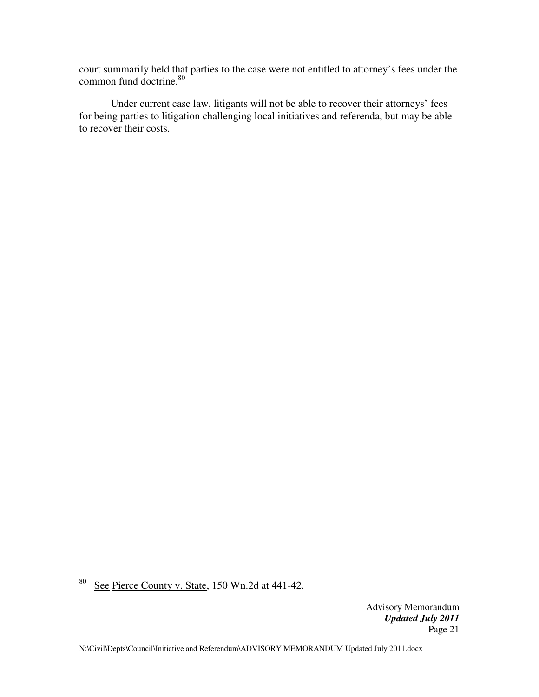court summarily held that parties to the case were not entitled to attorney's fees under the common fund doctrine.<sup>80</sup>

 Under current case law, litigants will not be able to recover their attorneys' fees for being parties to litigation challenging local initiatives and referenda, but may be able to recover their costs.

 $80\,$ See Pierce County v. State, 150 Wn.2d at 441-42.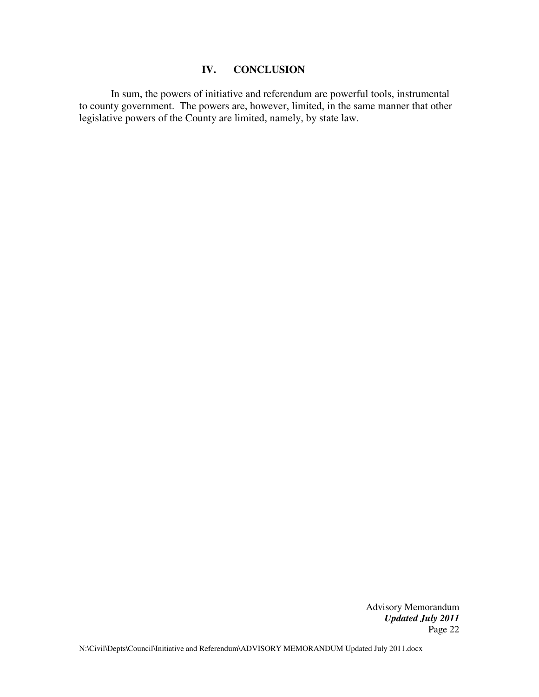### **IV. CONCLUSION**

 In sum, the powers of initiative and referendum are powerful tools, instrumental to county government. The powers are, however, limited, in the same manner that other legislative powers of the County are limited, namely, by state law.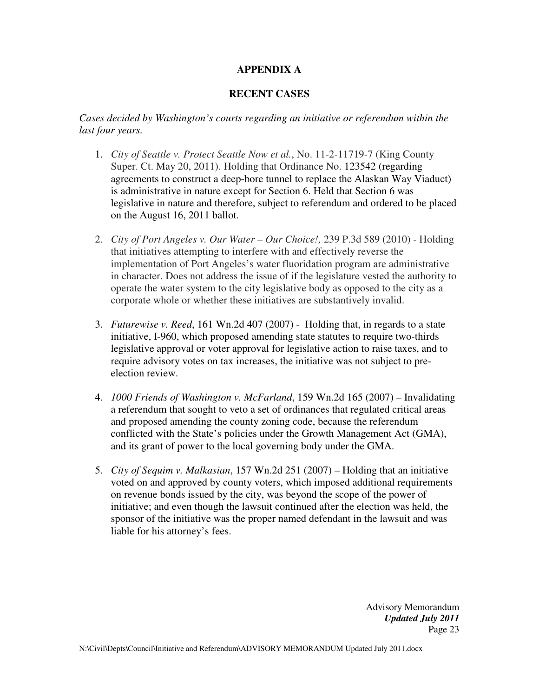## **APPENDIX A**

### **RECENT CASES**

*Cases decided by Washington's courts regarding an initiative or referendum within the last four years.* 

- 1. *City of Seattle v. Protect Seattle Now et al.*, No. 11-2-11719-7 (King County Super. Ct. May 20, 2011). Holding that Ordinance No. 123542 (regarding agreements to construct a deep-bore tunnel to replace the Alaskan Way Viaduct) is administrative in nature except for Section 6. Held that Section 6 was legislative in nature and therefore, subject to referendum and ordered to be placed on the August 16, 2011 ballot.
- 2. *City of Port Angeles v. Our Water Our Choice!,* 239 P.3d 589 (2010) Holding that initiatives attempting to interfere with and effectively reverse the implementation of Port Angeles's water fluoridation program are administrative in character. Does not address the issue of if the legislature vested the authority to operate the water system to the city legislative body as opposed to the city as a corporate whole or whether these initiatives are substantively invalid.
- 3. *Futurewise v. Reed*, 161 Wn.2d 407 (2007) Holding that, in regards to a state initiative, I-960, which proposed amending state statutes to require two-thirds legislative approval or voter approval for legislative action to raise taxes, and to require advisory votes on tax increases, the initiative was not subject to preelection review.
- 4. *1000 Friends of Washington v. McFarland*, 159 Wn.2d 165 (2007) Invalidating a referendum that sought to veto a set of ordinances that regulated critical areas and proposed amending the county zoning code, because the referendum conflicted with the State's policies under the Growth Management Act (GMA), and its grant of power to the local governing body under the GMA.
- 5. *City of Sequim v. Malkasian*, 157 Wn.2d 251 (2007) Holding that an initiative voted on and approved by county voters, which imposed additional requirements on revenue bonds issued by the city, was beyond the scope of the power of initiative; and even though the lawsuit continued after the election was held, the sponsor of the initiative was the proper named defendant in the lawsuit and was liable for his attorney's fees.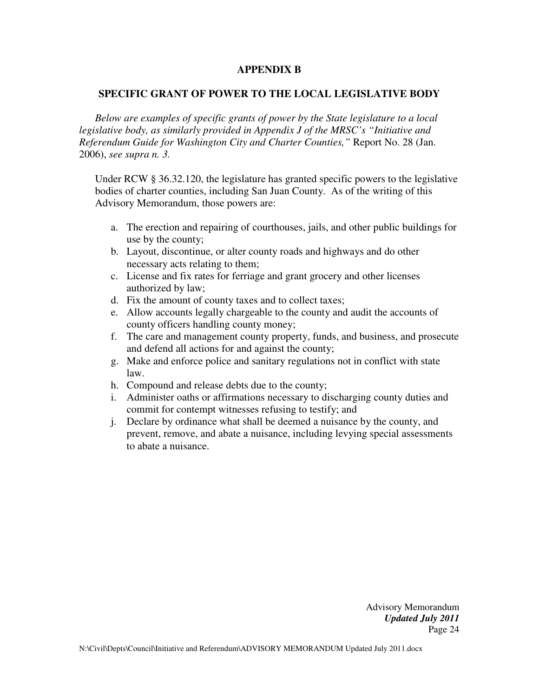#### **APPENDIX B**

#### **SPECIFIC GRANT OF POWER TO THE LOCAL LEGISLATIVE BODY**

*Below are examples of specific grants of power by the State legislature to a local legislative body, as similarly provided in Appendix J of the MRSC's "Initiative and Referendum Guide for Washington City and Charter Counties,"* Report No. 28 (Jan. 2006), *see supra n. 3.* 

Under RCW § 36.32.120, the legislature has granted specific powers to the legislative bodies of charter counties, including San Juan County. As of the writing of this Advisory Memorandum, those powers are:

- a. The erection and repairing of courthouses, jails, and other public buildings for use by the county;
- b. Layout, discontinue, or alter county roads and highways and do other necessary acts relating to them;
- c. License and fix rates for ferriage and grant grocery and other licenses authorized by law;
- d. Fix the amount of county taxes and to collect taxes;
- e. Allow accounts legally chargeable to the county and audit the accounts of county officers handling county money;
- f. The care and management county property, funds, and business, and prosecute and defend all actions for and against the county;
- g. Make and enforce police and sanitary regulations not in conflict with state law.
- h. Compound and release debts due to the county;
- i. Administer oaths or affirmations necessary to discharging county duties and commit for contempt witnesses refusing to testify; and
- j. Declare by ordinance what shall be deemed a nuisance by the county, and prevent, remove, and abate a nuisance, including levying special assessments to abate a nuisance.